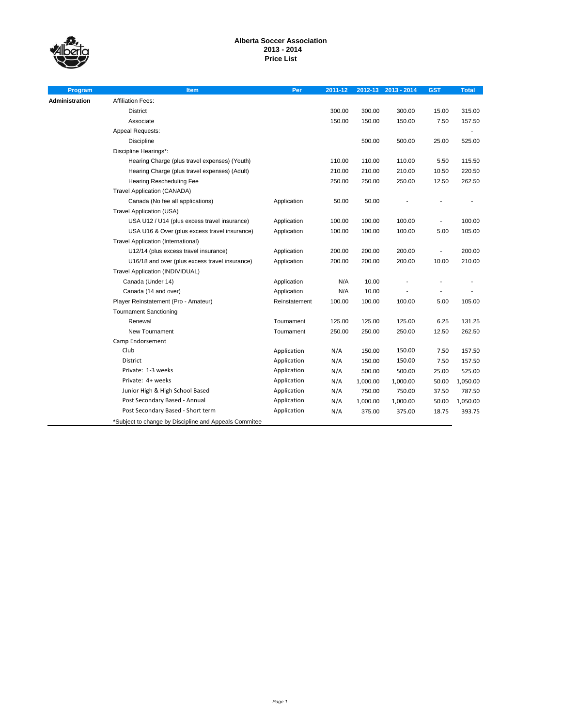

# **Alberta Soccer Association 2013 - 2014 Price List**

| Program               | <b>Item</b>                                           | Per           | 2011-12 |          | 2012-13 2013 - 2014 | <b>GST</b>     | <b>Total</b> |
|-----------------------|-------------------------------------------------------|---------------|---------|----------|---------------------|----------------|--------------|
| <b>Administration</b> | <b>Affiliation Fees:</b>                              |               |         |          |                     |                |              |
|                       | District                                              |               | 300.00  | 300.00   | 300.00              | 15.00          | 315.00       |
|                       | Associate                                             |               | 150.00  | 150.00   | 150.00              | 7.50           | 157.50       |
|                       | Appeal Requests:                                      |               |         |          |                     |                |              |
|                       | Discipline                                            |               |         | 500.00   | 500.00              | 25.00          | 525.00       |
|                       | Discipline Hearings*:                                 |               |         |          |                     |                |              |
|                       | Hearing Charge (plus travel expenses) (Youth)         |               | 110.00  | 110.00   | 110.00              | 5.50           | 115.50       |
|                       | Hearing Charge (plus travel expenses) (Adult)         |               | 210.00  | 210.00   | 210.00              | 10.50          | 220.50       |
|                       | Hearing Rescheduling Fee                              |               | 250.00  | 250.00   | 250.00              | 12.50          | 262.50       |
|                       | <b>Travel Application (CANADA)</b>                    |               |         |          |                     |                |              |
|                       | Canada (No fee all applications)                      | Application   | 50.00   | 50.00    |                     |                |              |
|                       | Travel Application (USA)                              |               |         |          |                     |                |              |
|                       | USA U12 / U14 (plus excess travel insurance)          | Application   | 100.00  | 100.00   | 100.00              | ÷,             | 100.00       |
|                       | USA U16 & Over (plus excess travel insurance)         | Application   | 100.00  | 100.00   | 100.00              | 5.00           | 105.00       |
|                       | Travel Application (International)                    |               |         |          |                     |                |              |
|                       | U12/14 (plus excess travel insurance)                 | Application   | 200.00  | 200.00   | 200.00              | $\overline{a}$ | 200.00       |
|                       | U16/18 and over (plus excess travel insurance)        | Application   | 200.00  | 200.00   | 200.00              | 10.00          | 210.00       |
|                       | Travel Application (INDIVIDUAL)                       |               |         |          |                     |                |              |
|                       | Canada (Under 14)                                     | Application   | N/A     | 10.00    |                     |                |              |
|                       | Canada (14 and over)                                  | Application   | N/A     | 10.00    |                     |                |              |
|                       | Player Reinstatement (Pro - Amateur)                  | Reinstatement | 100.00  | 100.00   | 100.00              | 5.00           | 105.00       |
|                       | <b>Tournament Sanctioning</b>                         |               |         |          |                     |                |              |
|                       | Renewal                                               | Tournament    | 125.00  | 125.00   | 125.00              | 6.25           | 131.25       |
|                       | New Tournament                                        | Tournament    | 250.00  | 250.00   | 250.00              | 12.50          | 262.50       |
|                       | Camp Endorsement                                      |               |         |          |                     |                |              |
|                       | Club                                                  | Application   | N/A     | 150.00   | 150.00              | 7.50           | 157.50       |
|                       | <b>District</b>                                       | Application   | N/A     | 150.00   | 150.00              | 7.50           | 157.50       |
|                       | Private: 1-3 weeks                                    | Application   | N/A     | 500.00   | 500.00              | 25.00          | 525.00       |
|                       | Private: 4+ weeks                                     | Application   | N/A     | 1,000.00 | 1,000.00            | 50.00          | 1,050.00     |
|                       | Junior High & High School Based                       | Application   | N/A     | 750.00   | 750.00              | 37.50          | 787.50       |
|                       | Post Secondary Based - Annual                         | Application   | N/A     | 1,000.00 | 1,000.00            | 50.00          | 1,050.00     |
|                       | Post Secondary Based - Short term                     | Application   | N/A     | 375.00   | 375.00              | 18.75          | 393.75       |
|                       | *Subject to change by Discipline and Appeals Commitee |               |         |          |                     |                |              |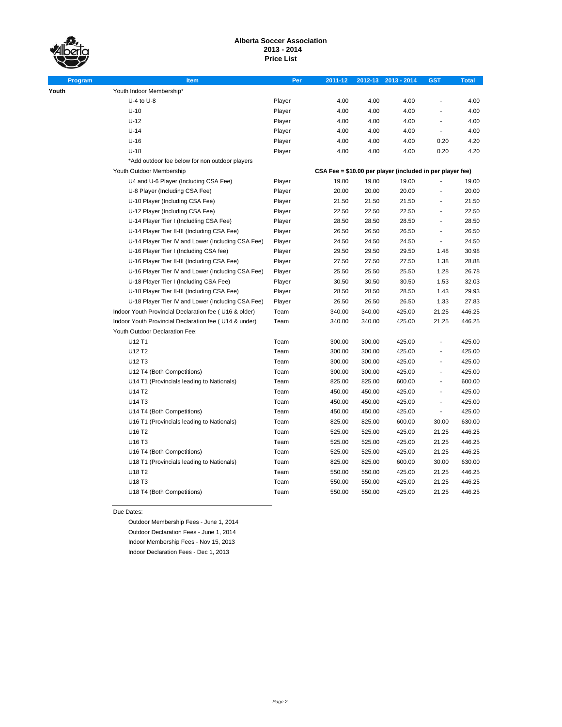**Youth** 

# **Alberta Soccer Association 2013 - 2014 Price List**

| Program | <b>Item</b>                                           | Per    | 2011-12 |        | 2012-13 2013 - 2014                                       | <b>GST</b>               | <b>Total</b> |
|---------|-------------------------------------------------------|--------|---------|--------|-----------------------------------------------------------|--------------------------|--------------|
|         | Youth Indoor Membership*                              |        |         |        |                                                           |                          |              |
|         | $U-4$ to $U-8$                                        | Player | 4.00    | 4.00   | 4.00                                                      |                          | 4.00         |
|         | $U-10$                                                | Player | 4.00    | 4.00   | 4.00                                                      |                          | 4.00         |
|         | $U-12$                                                | Player | 4.00    | 4.00   | 4.00                                                      | $\overline{a}$           | 4.00         |
|         | $U-14$                                                | Player | 4.00    | 4.00   | 4.00                                                      | ÷,                       | 4.00         |
|         | $U-16$                                                | Player | 4.00    | 4.00   | 4.00                                                      | 0.20                     | 4.20         |
|         | $U-18$                                                | Player | 4.00    | 4.00   | 4.00                                                      | 0.20                     | 4.20         |
|         | *Add outdoor fee below for non outdoor players        |        |         |        |                                                           |                          |              |
|         | Youth Outdoor Membership                              |        |         |        | CSA Fee = \$10.00 per player (included in per player fee) |                          |              |
|         | U4 and U-6 Player (Including CSA Fee)                 | Player | 19.00   | 19.00  | 19.00                                                     |                          | 19.00        |
|         | U-8 Player (Including CSA Fee)                        | Player | 20.00   | 20.00  | 20.00                                                     |                          | 20.00        |
|         | U-10 Player (Including CSA Fee)                       | Player | 21.50   | 21.50  | 21.50                                                     |                          | 21.50        |
|         | U-12 Player (Including CSA Fee)                       | Player | 22.50   | 22.50  | 22.50                                                     | ÷,                       | 22.50        |
|         | U-14 Player Tier I (Includling CSA Fee)               | Player | 28.50   | 28.50  | 28.50                                                     | ÷,                       | 28.50        |
|         | U-14 Player Tier II-III (Including CSA Fee)           | Player | 26.50   | 26.50  | 26.50                                                     | $\overline{\phantom{a}}$ | 26.50        |
|         | U-14 Player Tier IV and Lower (Including CSA Fee)     | Player | 24.50   | 24.50  | 24.50                                                     | $\blacksquare$           | 24.50        |
|         | U-16 Player Tier I (Including CSA fee)                | Player | 29.50   | 29.50  | 29.50                                                     | 1.48                     | 30.98        |
|         | U-16 Player Tier II-III (Including CSA Fee)           | Player | 27.50   | 27.50  | 27.50                                                     | 1.38                     | 28.88        |
|         | U-16 Player Tier IV and Lower (Including CSA Fee)     | Player | 25.50   | 25.50  | 25.50                                                     | 1.28                     | 26.78        |
|         | U-18 Player Tier I (Including CSA Fee)                | Player | 30.50   | 30.50  | 30.50                                                     | 1.53                     | 32.03        |
|         | U-18 Player Tier II-III (Including CSA Fee)           | Player | 28.50   | 28.50  | 28.50                                                     | 1.43                     | 29.93        |
|         | U-18 Player Tier IV and Lower (Including CSA Fee)     | Player | 26.50   | 26.50  | 26.50                                                     | 1.33                     | 27.83        |
|         | Indoor Youth Provincial Declaration fee (U16 & older) | Team   | 340.00  | 340.00 | 425.00                                                    | 21.25                    | 446.25       |
|         | Indoor Youth Provincial Declaration fee (U14 & under) | Team   | 340.00  | 340.00 | 425.00                                                    | 21.25                    | 446.25       |
|         | Youth Outdoor Declaration Fee:                        |        |         |        |                                                           |                          |              |
|         | U12 T1                                                | Team   | 300.00  | 300.00 | 425.00                                                    |                          | 425.00       |
|         | U12 T2                                                | Team   | 300.00  | 300.00 | 425.00                                                    | ÷,                       | 425.00       |
|         | U12 T3                                                | Team   | 300.00  | 300.00 | 425.00                                                    | $\frac{1}{2}$            | 425.00       |
|         | U12 T4 (Both Competitions)                            | Team   | 300.00  | 300.00 | 425.00                                                    | $\blacksquare$           | 425.00       |
|         | U14 T1 (Provincials leading to Nationals)             | Team   | 825.00  | 825.00 | 600.00                                                    | $\frac{1}{2}$            | 600.00       |
|         | U14 T2                                                | Team   | 450.00  | 450.00 | 425.00                                                    | ÷,                       | 425.00       |
|         | U14 T3                                                | Team   | 450.00  | 450.00 | 425.00                                                    | $\overline{a}$           | 425.00       |
|         | U14 T4 (Both Competitions)                            | Team   | 450.00  | 450.00 | 425.00                                                    | $\overline{\phantom{a}}$ | 425.00       |
|         | U16 T1 (Provincials leading to Nationals)             | Team   | 825.00  | 825.00 | 600.00                                                    | 30.00                    | 630.00       |
|         | U16 T2                                                | Team   | 525.00  | 525.00 | 425.00                                                    | 21.25                    | 446.25       |
|         | U16 T3                                                | Team   | 525.00  | 525.00 | 425.00                                                    | 21.25                    | 446.25       |
|         | U16 T4 (Both Competitions)                            | Team   | 525.00  | 525.00 | 425.00                                                    | 21.25                    | 446.25       |
|         | U18 T1 (Provincials leading to Nationals)             | Team   | 825.00  | 825.00 | 600.00                                                    | 30.00                    | 630.00       |
|         | U18 T2                                                | Team   | 550.00  | 550.00 | 425.00                                                    | 21.25                    | 446.25       |
|         | U18 T3                                                | Team   | 550.00  | 550.00 | 425.00                                                    | 21.25                    | 446.25       |
|         | U18 T4 (Both Competitions)                            | Team   | 550.00  | 550.00 | 425.00                                                    | 21.25                    | 446.25       |

Due Dates:

Outdoor Membership Fees - June 1, 2014 Outdoor Declaration Fees - June 1, 2014 Indoor Membership Fees - Nov 15, 2013 Indoor Declaration Fees - Dec 1, 2013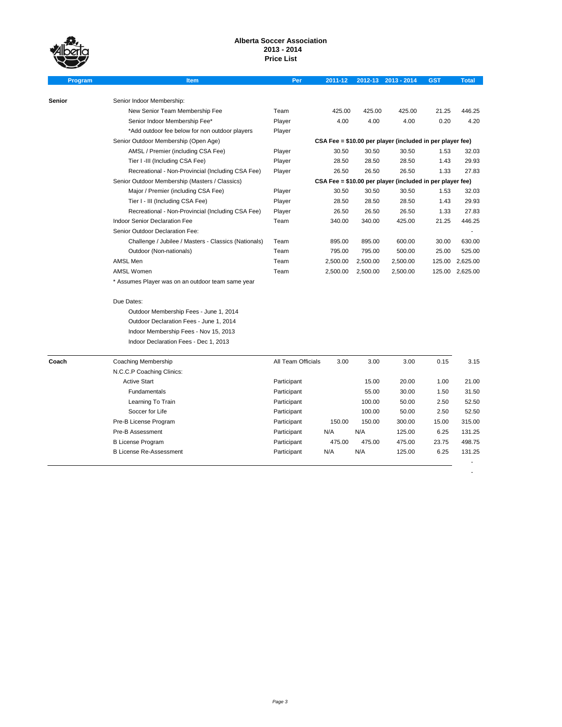# **Alberta Soccer Association 2013 - 2014 Price List**

| Program | Item                                                 | Per                                                       | 2011-12                                                   |          | 2012-13 2013 - 2014 | <b>GST</b> | <b>Total</b> |  |  |  |
|---------|------------------------------------------------------|-----------------------------------------------------------|-----------------------------------------------------------|----------|---------------------|------------|--------------|--|--|--|
|         |                                                      |                                                           |                                                           |          |                     |            |              |  |  |  |
| Senior  | Senior Indoor Membership:                            |                                                           |                                                           |          |                     |            |              |  |  |  |
|         | New Senior Team Membership Fee                       | Team                                                      | 425.00                                                    | 425.00   | 425.00              | 21.25      | 446.25       |  |  |  |
|         | Senior Indoor Membership Fee*                        | Player                                                    | 4.00                                                      | 4.00     | 4.00                | 0.20       | 4.20         |  |  |  |
|         | *Add outdoor fee below for non outdoor players       | Player                                                    |                                                           |          |                     |            |              |  |  |  |
|         | Senior Outdoor Membership (Open Age)                 | CSA Fee = \$10.00 per player (included in per player fee) |                                                           |          |                     |            |              |  |  |  |
|         | AMSL / Premier (including CSA Fee)                   | Player                                                    | 30.50                                                     | 30.50    | 30.50               | 1.53       | 32.03        |  |  |  |
|         | Tier I -III (Including CSA Fee)                      | Player                                                    | 28.50                                                     | 28.50    | 28.50               | 1.43       | 29.93        |  |  |  |
|         | Recreational - Non-Provincial (Including CSA Fee)    | Player                                                    | 26.50                                                     | 26.50    | 26.50               | 1.33       | 27.83        |  |  |  |
|         | Senior Outdoor Membership (Masters / Classics)       |                                                           | CSA Fee = \$10.00 per player (included in per player fee) |          |                     |            |              |  |  |  |
|         | Major / Premier (including CSA Fee)                  | Player                                                    | 30.50                                                     | 30.50    | 30.50               | 1.53       | 32.03        |  |  |  |
|         | Tier I - III (Including CSA Fee)                     | Player                                                    | 28.50                                                     | 28.50    | 28.50               | 1.43       | 29.93        |  |  |  |
|         | Recreational - Non-Provincial (Including CSA Fee)    | Player                                                    | 26.50                                                     | 26.50    | 26.50               | 1.33       | 27.83        |  |  |  |
|         | <b>Indoor Senior Declaration Fee</b>                 | Team                                                      | 340.00                                                    | 340.00   | 425.00              | 21.25      | 446.25       |  |  |  |
|         | Senior Outdoor Declaration Fee:                      |                                                           |                                                           |          |                     |            |              |  |  |  |
|         | Challenge / Jubilee / Masters - Classics (Nationals) | Team                                                      | 895.00                                                    | 895.00   | 600.00              | 30.00      | 630.00       |  |  |  |
|         | Outdoor (Non-nationals)                              | Team                                                      | 795.00                                                    | 795.00   | 500.00              | 25.00      | 525.00       |  |  |  |
|         | AMSL Men                                             | Team                                                      | 2,500.00                                                  | 2,500.00 | 2,500.00            | 125.00     | 2,625.00     |  |  |  |
|         | <b>AMSL Women</b>                                    | Team                                                      | 2,500.00                                                  | 2,500.00 | 2,500.00            | 125.00     | 2,625.00     |  |  |  |
|         | * Assumes Player was on an outdoor team same year    |                                                           |                                                           |          |                     |            |              |  |  |  |
|         | Due Dates:                                           |                                                           |                                                           |          |                     |            |              |  |  |  |
|         | Outdoor Membership Fees - June 1, 2014               |                                                           |                                                           |          |                     |            |              |  |  |  |
|         | Outdoor Declaration Fees - June 1, 2014              |                                                           |                                                           |          |                     |            |              |  |  |  |
|         | Indoor Membership Fees - Nov 15, 2013                |                                                           |                                                           |          |                     |            |              |  |  |  |
|         | Indoor Declaration Fees - Dec 1, 2013                |                                                           |                                                           |          |                     |            |              |  |  |  |
|         |                                                      |                                                           |                                                           |          |                     |            |              |  |  |  |
| Coach   | Coaching Membership                                  | All Team Officials                                        | 3.00                                                      | 3.00     | 3.00                | 0.15       | 3.15         |  |  |  |
|         | N.C.C.P Coaching Clinics:                            |                                                           |                                                           |          |                     |            |              |  |  |  |
|         | <b>Active Start</b>                                  | Participant                                               |                                                           | 15.00    | 20.00               | 1.00       | 21.00        |  |  |  |
|         | Fundamentals                                         | Participant                                               |                                                           | 55.00    | 30.00               | 1.50       | 31.50        |  |  |  |
|         | Learning To Train                                    | Participant                                               |                                                           | 100.00   | 50.00               | 2.50       | 52.50        |  |  |  |
|         | Soccer for Life                                      | Participant                                               |                                                           | 100.00   | 50.00               | 2.50       | 52.50        |  |  |  |
|         | Pre-B License Program                                | Participant                                               | 150.00                                                    | 150.00   | 300.00              | 15.00      | 315.00       |  |  |  |
|         | Pre-B Assessment                                     | Participant                                               | N/A                                                       | N/A      | 125.00              | 6.25       | 131.25       |  |  |  |
|         | <b>B License Program</b>                             | Participant                                               | 475.00                                                    | 475.00   | 475.00              | 23.75      | 498.75       |  |  |  |
|         | <b>B License Re-Assessment</b>                       | Participant                                               | N/A                                                       | N/A      | 125.00              | 6.25       | 131.25       |  |  |  |
|         |                                                      |                                                           |                                                           |          |                     |            |              |  |  |  |

-